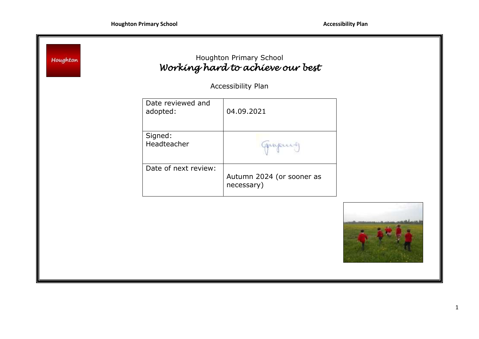|                               | Accessibility Plan                      |
|-------------------------------|-----------------------------------------|
| Date reviewed and<br>adopted: | 04.09.2021                              |
| Signed:<br>Headteacher        | munous                                  |
| Date of next review:          | Autumn 2024 (or sooner as<br>necessary) |

7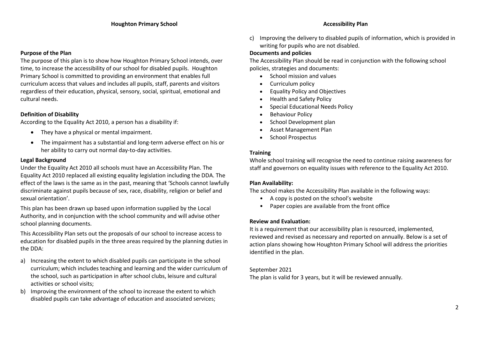### **Purpose of the Plan**

The purpose of this plan is to show how Houghton Primary School intends, over time, to increase the accessibility of our school for disabled pupils. Houghton Primary School is committed to providing an environment that enables full curriculum access that values and includes all pupils, staff, parents and visitors regardless of their education, physical, sensory, social, spiritual, emotional and cultural needs.

# **Definition of Disability**

According to the Equality Act 2010, a person has a disability if:

- They have a physical or mental impairment.
- The impairment has a substantial and long-term adverse effect on his or her ability to carry out normal day-to-day activities.

### **Legal Background**

Under the Equality Act 2010 all schools must have an Accessibility Plan. The Equality Act 2010 replaced all existing equality legislation including the DDA. The effect of the laws is the same as in the past, meaning that 'Schools cannot lawfully discriminate against pupils because of sex, race, disability, religion or belief and sexual orientation'.

This plan has been drawn up based upon information supplied by the Local Authority, and in conjunction with the school community and will advise other school planning documents.

This Accessibility Plan sets out the proposals of our school to increase access to education for disabled pupils in the three areas required by the planning duties in the DDA:

- a) Increasing the extent to which disabled pupils can participate in the school curriculum; which includes teaching and learning and the wider curriculum of the school, such as participation in after school clubs, leisure and cultural activities or school visits;
- b) Improving the environment of the school to increase the extent to which disabled pupils can take advantage of education and associated services;

c) Improving the delivery to disabled pupils of information, which is provided in writing for pupils who are not disabled.

### **Documents and policies**

The Accessibility Plan should be read in conjunction with the following school policies, strategies and documents:

- School mission and values
- Curriculum policy
- Equality Policy and Objectives
- Health and Safety Policy
- Special Educational Needs Policy
- Behaviour Policy
- School Development plan
- Asset Management Plan
- School Prospectus

# **Training**

Whole school training will recognise the need to continue raising awareness for staff and governors on equality issues with reference to the Equality Act 2010.

# **Plan Availability:**

The school makes the Accessibility Plan available in the following ways:

- A copy is posted on the school's website
- Paper copies are available from the front office

# **Review and Evaluation:**

It is a requirement that our accessibility plan is resourced, implemented, reviewed and revised as necessary and reported on annually. Below is a set of action plans showing how Houghton Primary School will address the priorities identified in the plan.

# September 2021

The plan is valid for 3 years, but it will be reviewed annually.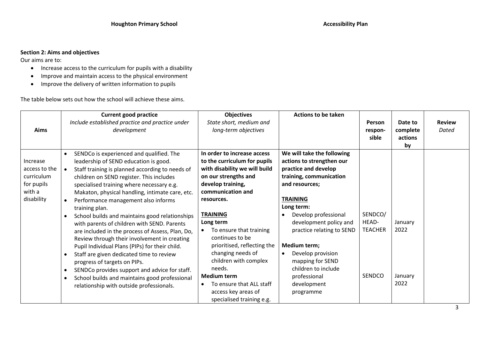# **Section 2: Aims and objectives**

Our aims are to:

- Increase access to the curriculum for pupils with a disability
- Improve and maintain access to the physical environment
- Improve the delivery of written information to pupils

The table below sets out how the school will achieve these aims.

|               | <b>Current good practice</b>                                 | <b>Objectives</b>             | <b>Actions to be taken</b> |                |          |               |
|---------------|--------------------------------------------------------------|-------------------------------|----------------------------|----------------|----------|---------------|
|               | Include established practice and practice under              | State short, medium and       |                            | Person         | Date to  | <b>Review</b> |
| Aims          | development                                                  | long-term objectives          |                            | respon-        | complete | Dated         |
|               |                                                              |                               |                            | sible          | actions  |               |
|               |                                                              |                               |                            |                | by       |               |
|               | SENDCo is experienced and qualified. The<br>$\bullet$        | In order to increase access   | We will take the following |                |          |               |
| Increase      | leadership of SEND education is good.                        | to the curriculum for pupils  | actions to strengthen our  |                |          |               |
| access to the | Staff training is planned according to needs of<br>$\bullet$ | with disability we will build | practice and develop       |                |          |               |
| curriculum    | children on SEND register. This includes                     | on our strengths and          | training, communication    |                |          |               |
| for pupils    | specialised training where necessary e.g.                    | develop training,             | and resources;             |                |          |               |
| with a        | Makaton, physical handling, intimate care, etc.              | communication and             |                            |                |          |               |
| disability    | Performance management also informs<br>$\bullet$             | resources.                    | <b>TRAINING</b>            |                |          |               |
|               | training plan.                                               |                               | Long term:                 |                |          |               |
|               | School builds and maintains good relationships<br>$\bullet$  | <b>TRAINING</b>               | Develop professional       | SENDCO/        |          |               |
|               | with parents of children with SEND. Parents                  | Long term                     | development policy and     | HEAD-          | January  |               |
|               | are included in the process of Assess, Plan, Do,             | To ensure that training       | practice relating to SEND  | <b>TEACHER</b> | 2022     |               |
|               | Review through their involvement in creating                 | continues to be               |                            |                |          |               |
|               | Pupil Individual Plans (PIPs) for their child.               | prioritised, reflecting the   | Medium term;               |                |          |               |
|               | Staff are given dedicated time to review<br>$\bullet$        | changing needs of             | Develop provision          |                |          |               |
|               | progress of targets on PIPs.                                 | children with complex         | mapping for SEND           |                |          |               |
|               | SENDCo provides support and advice for staff.<br>$\bullet$   | needs.                        | children to include        |                |          |               |
|               | School builds and maintains good professional<br>$\bullet$   | <b>Medium term</b>            | professional               | SENDCO         | January  |               |
|               | relationship with outside professionals.                     | To ensure that ALL staff      | development                |                | 2022     |               |
|               |                                                              | access key areas of           | programme                  |                |          |               |
|               |                                                              | specialised training e.g.     |                            |                |          |               |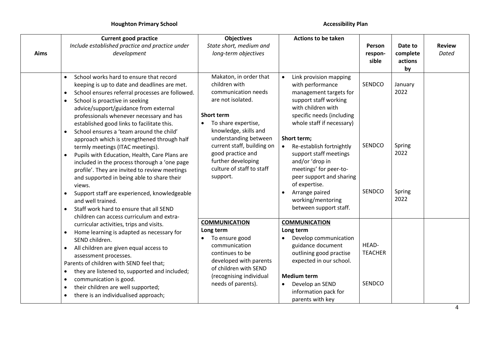|             | <b>Current good practice</b>                                                                                                                                                                                                                                                                                                                                                                                                                                                                       | <b>Objectives</b>                                                                                                                                                                                                    | <b>Actions to be taken</b>                                                                                                                                                                                                            |                                   |                                      |                        |
|-------------|----------------------------------------------------------------------------------------------------------------------------------------------------------------------------------------------------------------------------------------------------------------------------------------------------------------------------------------------------------------------------------------------------------------------------------------------------------------------------------------------------|----------------------------------------------------------------------------------------------------------------------------------------------------------------------------------------------------------------------|---------------------------------------------------------------------------------------------------------------------------------------------------------------------------------------------------------------------------------------|-----------------------------------|--------------------------------------|------------------------|
| <b>Aims</b> | Include established practice and practice under<br>development                                                                                                                                                                                                                                                                                                                                                                                                                                     | State short, medium and<br>long-term objectives                                                                                                                                                                      |                                                                                                                                                                                                                                       | Person<br>respon-<br>sible        | Date to<br>complete<br>actions<br>by | <b>Review</b><br>Dated |
|             | School works hard to ensure that record<br>$\bullet$<br>keeping is up to date and deadlines are met.<br>School ensures referral processes are followed.<br>$\bullet$<br>School is proactive in seeking<br>$\bullet$<br>advice/support/guidance from external<br>professionals whenever necessary and has<br>established good links to facilitate this.<br>School ensures a 'team around the child'<br>$\bullet$<br>approach which is strengthened through half<br>termly meetings (ITAC meetings). | Makaton, in order that<br>children with<br>communication needs<br>are not isolated.<br><b>Short term</b><br>To share expertise,<br>٠<br>knowledge, skills and<br>understanding between<br>current staff, building on | Link provision mapping<br>$\bullet$<br>with performance<br>management targets for<br>support staff working<br>with children with<br>specific needs (including<br>whole staff if necessary)<br>Short term;<br>Re-establish fortnightly | SENDCO<br>SENDCO                  | January<br>2022<br>Spring            |                        |
|             | Pupils with Education, Health, Care Plans are<br>$\bullet$<br>included in the process thorough a 'one page<br>profile'. They are invited to review meetings<br>and supported in being able to share their<br>views.<br>Support staff are experienced, knowledgeable<br>and well trained.<br>Staff work hard to ensure that all SEND<br>$\bullet$<br>children can access curriculum and extra-                                                                                                      | good practice and<br>further developing<br>culture of staff to staff<br>support.                                                                                                                                     | support staff meetings<br>and/or 'drop in<br>meetings' for peer-to-<br>peer support and sharing<br>of expertise.<br>Arrange paired<br>working/mentoring<br>between support staff.                                                     | SENDCO                            | 2022<br>Spring<br>2022               |                        |
|             | curricular activities, trips and visits.                                                                                                                                                                                                                                                                                                                                                                                                                                                           | <b>COMMUNICATION</b>                                                                                                                                                                                                 | <b>COMMUNICATION</b>                                                                                                                                                                                                                  |                                   |                                      |                        |
|             | Home learning is adapted as necessary for<br>$\bullet$<br>SEND children.<br>All children are given equal access to<br>$\bullet$<br>assessment processes.<br>Parents of children with SEND feel that;<br>they are listened to, supported and included;<br>$\bullet$<br>communication is good.<br>$\bullet$<br>their children are well supported;<br>$\bullet$<br>there is an individualised approach;<br>$\bullet$                                                                                  | Long term<br>To ensure good<br>communication<br>continues to be<br>developed with parents<br>of children with SEND<br>(recognising individual<br>needs of parents).                                                  | Long term<br>Develop communication<br>$\bullet$<br>guidance document<br>outlining good practise<br>expected in our school.<br><b>Medium term</b><br>Develop an SEND<br>$\bullet$<br>information pack for<br>parents with key          | HEAD-<br><b>TEACHER</b><br>SENDCO |                                      |                        |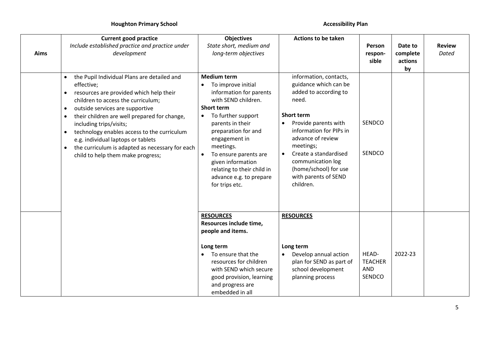| Aims | <b>Current good practice</b><br>Include established practice and practice under<br>development                                                                                                                                                                                                                                                                                                                                                                                                         | <b>Objectives</b><br>State short, medium and<br>long-term objectives                                                                                                                                                                                                                                                                                                           | <b>Actions to be taken</b><br>Person<br>respon-<br>sible                                                                                                                                                                                                                                                |                                                 | Date to<br>complete<br>actions<br>by | <b>Review</b><br><b>Dated</b> |
|------|--------------------------------------------------------------------------------------------------------------------------------------------------------------------------------------------------------------------------------------------------------------------------------------------------------------------------------------------------------------------------------------------------------------------------------------------------------------------------------------------------------|--------------------------------------------------------------------------------------------------------------------------------------------------------------------------------------------------------------------------------------------------------------------------------------------------------------------------------------------------------------------------------|---------------------------------------------------------------------------------------------------------------------------------------------------------------------------------------------------------------------------------------------------------------------------------------------------------|-------------------------------------------------|--------------------------------------|-------------------------------|
|      | the Pupil Individual Plans are detailed and<br>effective;<br>resources are provided which help their<br>$\bullet$<br>children to access the curriculum;<br>outside services are supportive<br>$\bullet$<br>their children are well prepared for change,<br>$\bullet$<br>including trips/visits;<br>technology enables access to the curriculum<br>$\bullet$<br>e.g. individual laptops or tablets<br>the curriculum is adapted as necessary for each<br>$\bullet$<br>child to help them make progress; | <b>Medium term</b><br>To improve initial<br>$\bullet$<br>information for parents<br>with SEND children.<br><b>Short term</b><br>To further support<br>$\bullet$<br>parents in their<br>preparation for and<br>engagement in<br>meetings.<br>To ensure parents are<br>$\bullet$<br>given information<br>relating to their child in<br>advance e.g. to prepare<br>for trips etc. | information, contacts,<br>guidance which can be<br>added to according to<br>need.<br><b>Short term</b><br>Provide parents with<br>information for PIPs in<br>advance of review<br>meetings;<br>Create a standardised<br>communication log<br>(home/school) for use<br>with parents of SEND<br>children. | SENDCO<br>SENDCO                                |                                      |                               |
|      |                                                                                                                                                                                                                                                                                                                                                                                                                                                                                                        | <b>RESOURCES</b><br>Resources include time,<br>people and items.<br>Long term<br>To ensure that the<br>$\bullet$<br>resources for children<br>with SEND which secure<br>good provision, learning<br>and progress are<br>embedded in all                                                                                                                                        | <b>RESOURCES</b><br>Long term<br>Develop annual action<br>$\bullet$<br>plan for SEND as part of<br>school development<br>planning process                                                                                                                                                               | HEAD-<br><b>TEACHER</b><br><b>AND</b><br>SENDCO | 2022-23                              |                               |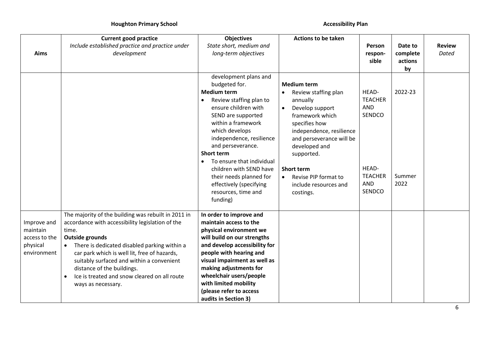|                           | <b>Current good practice</b>                                           | <b>Objectives</b>                                            | <b>Actions to be taken</b>         |                              |                     |               |
|---------------------------|------------------------------------------------------------------------|--------------------------------------------------------------|------------------------------------|------------------------------|---------------------|---------------|
|                           | Include established practice and practice under                        | State short, medium and                                      |                                    | Person                       | Date to             | <b>Review</b> |
| Aims                      | development                                                            | long-term objectives                                         |                                    | respon-<br>sible             | complete<br>actions | <b>Dated</b>  |
|                           |                                                                        |                                                              |                                    |                              | by                  |               |
|                           |                                                                        | development plans and                                        |                                    |                              |                     |               |
|                           |                                                                        | budgeted for.                                                | <b>Medium term</b>                 |                              |                     |               |
|                           |                                                                        | <b>Medium term</b>                                           | Review staffing plan               | HEAD-                        | 2022-23             |               |
|                           |                                                                        | Review staffing plan to<br>$\bullet$                         | annually                           | <b>TEACHER</b>               |                     |               |
|                           |                                                                        | ensure children with                                         | Develop support<br>$\bullet$       | <b>AND</b><br>SENDCO         |                     |               |
|                           |                                                                        | SEND are supported<br>within a framework                     | framework which<br>specifies how   |                              |                     |               |
|                           |                                                                        | which develops                                               | independence, resilience           |                              |                     |               |
|                           |                                                                        | independence, resilience                                     | and perseverance will be           |                              |                     |               |
|                           |                                                                        | and perseverance.                                            | developed and                      |                              |                     |               |
|                           |                                                                        | <b>Short term</b>                                            | supported.                         |                              |                     |               |
|                           |                                                                        | To ensure that individual<br>$\bullet$                       |                                    |                              |                     |               |
|                           |                                                                        | children with SEND have                                      | <b>Short term</b>                  | HEAD-                        |                     |               |
|                           |                                                                        | their needs planned for                                      | Revise PIP format to<br>$\bullet$  | <b>TEACHER</b><br><b>AND</b> | Summer<br>2022      |               |
|                           |                                                                        | effectively (specifying<br>resources, time and               | include resources and<br>costings. | SENDCO                       |                     |               |
|                           |                                                                        | funding)                                                     |                                    |                              |                     |               |
|                           |                                                                        |                                                              |                                    |                              |                     |               |
|                           | The majority of the building was rebuilt in 2011 in                    | In order to improve and                                      |                                    |                              |                     |               |
| Improve and               | accordance with accessibility legislation of the                       | maintain access to the                                       |                                    |                              |                     |               |
| maintain                  | time.                                                                  | physical environment we                                      |                                    |                              |                     |               |
| access to the<br>physical | <b>Outside grounds</b><br>There is dedicated disabled parking within a | will build on our strengths<br>and develop accessibility for |                                    |                              |                     |               |
| environment               | car park which is well lit, free of hazards,                           | people with hearing and                                      |                                    |                              |                     |               |
|                           | suitably surfaced and within a convenient                              | visual impairment as well as                                 |                                    |                              |                     |               |
|                           | distance of the buildings.                                             | making adjustments for                                       |                                    |                              |                     |               |
|                           | Ice is treated and snow cleared on all route<br>$\bullet$              | wheelchair users/people                                      |                                    |                              |                     |               |
|                           | ways as necessary.                                                     | with limited mobility                                        |                                    |                              |                     |               |
|                           |                                                                        | (please refer to access                                      |                                    |                              |                     |               |
|                           |                                                                        | audits in Section 3)                                         |                                    |                              |                     |               |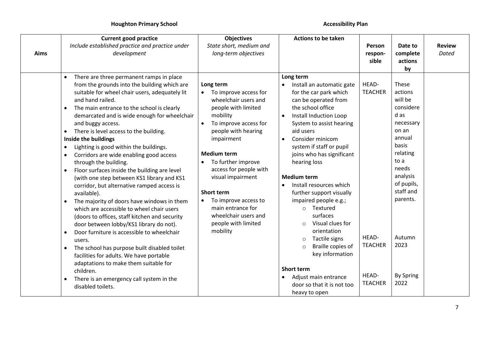| Aims | <b>Current good practice</b><br>Include established practice and practice under<br>development                                                                                                                                                                                                                                                                                                                                                                                                                                                                                                                                                                                                                                                                                                                                                                                                                                                                                                                                                                                                                                                                                | <b>Objectives</b><br>State short, medium and<br>long-term objectives                                                                                                                                                                                                                                                                                                                                          | <b>Actions to be taken</b>                                                                                                                                                                                                                                                                                                                                                                                                                                                                                                                                                                                                                      | Person<br>respon-<br>sible                                                    | Date to<br>complete<br>actions<br>by                                                                                                                                                                                    | <b>Review</b><br>Dated |
|------|-------------------------------------------------------------------------------------------------------------------------------------------------------------------------------------------------------------------------------------------------------------------------------------------------------------------------------------------------------------------------------------------------------------------------------------------------------------------------------------------------------------------------------------------------------------------------------------------------------------------------------------------------------------------------------------------------------------------------------------------------------------------------------------------------------------------------------------------------------------------------------------------------------------------------------------------------------------------------------------------------------------------------------------------------------------------------------------------------------------------------------------------------------------------------------|---------------------------------------------------------------------------------------------------------------------------------------------------------------------------------------------------------------------------------------------------------------------------------------------------------------------------------------------------------------------------------------------------------------|-------------------------------------------------------------------------------------------------------------------------------------------------------------------------------------------------------------------------------------------------------------------------------------------------------------------------------------------------------------------------------------------------------------------------------------------------------------------------------------------------------------------------------------------------------------------------------------------------------------------------------------------------|-------------------------------------------------------------------------------|-------------------------------------------------------------------------------------------------------------------------------------------------------------------------------------------------------------------------|------------------------|
|      | There are three permanent ramps in place<br>from the grounds into the building which are<br>suitable for wheel chair users, adequately lit<br>and hand railed.<br>The main entrance to the school is clearly<br>٠<br>demarcated and is wide enough for wheelchair<br>and buggy access.<br>There is level access to the building.<br>$\bullet$<br>Inside the buildings<br>Lighting is good within the buildings.<br>٠<br>Corridors are wide enabling good access<br>$\bullet$<br>through the building.<br>Floor surfaces inside the building are level<br>$\bullet$<br>(with one step between KS1 library and KS1<br>corridor, but alternative ramped access is<br>available).<br>The majority of doors have windows in them<br>$\bullet$<br>which are accessible to wheel chair users<br>(doors to offices, staff kitchen and security<br>door between lobby/KS1 library do not).<br>Door furniture is accessible to wheelchair<br>$\bullet$<br>users.<br>The school has purpose built disabled toilet<br>facilities for adults. We have portable<br>adaptations to make them suitable for<br>children.<br>There is an emergency call system in the<br>٠<br>disabled toilets. | Long term<br>To improve access for<br>wheelchair users and<br>people with limited<br>mobility<br>To improve access for<br>$\bullet$<br>people with hearing<br>impairment<br><b>Medium term</b><br>To further improve<br>access for people with<br>visual impairment<br><b>Short term</b><br>To improve access to<br>$\bullet$<br>main entrance for<br>wheelchair users and<br>people with limited<br>mobility | Long term<br>Install an automatic gate<br>for the car park which<br>can be operated from<br>the school office<br>Install Induction Loop<br>System to assist hearing<br>aid users<br>Consider minicom<br>system if staff or pupil<br>joins who has significant<br>hearing loss<br><b>Medium term</b><br>Install resources which<br>further support visually<br>impaired people e.g.;<br>Textured<br>$\circ$<br>surfaces<br>Visual clues for<br>$\circ$<br>orientation<br>Tactile signs<br>$\circ$<br>Braille copies of<br>$\circ$<br>key information<br><b>Short term</b><br>Adjust main entrance<br>door so that it is not too<br>heavy to open | HEAD-<br><b>TEACHER</b><br>HEAD-<br><b>TEACHER</b><br>HEAD-<br><b>TEACHER</b> | These<br>actions<br>will be<br>considere<br>d as<br>necessary<br>on an<br>annual<br>basis<br>relating<br>to a<br>needs<br>analysis<br>of pupils,<br>staff and<br>parents.<br>Autumn<br>2023<br><b>By Spring</b><br>2022 |                        |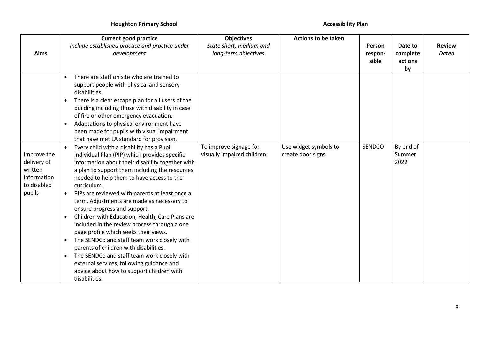|             | <b>Current good practice</b>                                   | <b>Objectives</b>           | <b>Actions to be taken</b> |         |           |               |
|-------------|----------------------------------------------------------------|-----------------------------|----------------------------|---------|-----------|---------------|
|             | Include established practice and practice under                | State short, medium and     |                            | Person  | Date to   | <b>Review</b> |
| Aims        | development                                                    | long-term objectives        |                            | respon- | complete  | Dated         |
|             |                                                                |                             |                            | sible   | actions   |               |
|             |                                                                |                             |                            |         | by        |               |
|             | There are staff on site who are trained to<br>$\bullet$        |                             |                            |         |           |               |
|             | support people with physical and sensory<br>disabilities.      |                             |                            |         |           |               |
|             | There is a clear escape plan for all users of the<br>$\bullet$ |                             |                            |         |           |               |
|             | building including those with disability in case               |                             |                            |         |           |               |
|             | of fire or other emergency evacuation.                         |                             |                            |         |           |               |
|             | Adaptations to physical environment have<br>$\bullet$          |                             |                            |         |           |               |
|             | been made for pupils with visual impairment                    |                             |                            |         |           |               |
|             | that have met LA standard for provision.                       |                             |                            |         |           |               |
|             | Every child with a disability has a Pupil                      | To improve signage for      | Use widget symbols to      | SENDCO  | By end of |               |
| Improve the | Individual Plan (PIP) which provides specific                  | visually impaired children. | create door signs          |         | Summer    |               |
| delivery of | information about their disability together with               |                             |                            |         | 2022      |               |
| written     | a plan to support them including the resources                 |                             |                            |         |           |               |
| information | needed to help them to have access to the                      |                             |                            |         |           |               |
| to disabled | curriculum.                                                    |                             |                            |         |           |               |
| pupils      | PIPs are reviewed with parents at least once a<br>$\bullet$    |                             |                            |         |           |               |
|             | term. Adjustments are made as necessary to                     |                             |                            |         |           |               |
|             | ensure progress and support.                                   |                             |                            |         |           |               |
|             | Children with Education, Health, Care Plans are<br>$\bullet$   |                             |                            |         |           |               |
|             | included in the review process through a one                   |                             |                            |         |           |               |
|             | page profile which seeks their views.                          |                             |                            |         |           |               |
|             | The SENDCo and staff team work closely with<br>$\bullet$       |                             |                            |         |           |               |
|             | parents of children with disabilities.                         |                             |                            |         |           |               |
|             | The SENDCo and staff team work closely with<br>$\bullet$       |                             |                            |         |           |               |
|             | external services, following guidance and                      |                             |                            |         |           |               |
|             | advice about how to support children with                      |                             |                            |         |           |               |
|             | disabilities.                                                  |                             |                            |         |           |               |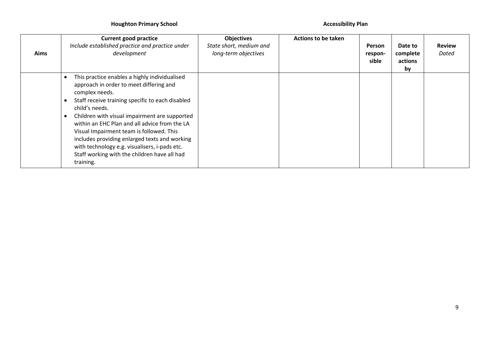| Aims | <b>Current good practice</b><br>Include established practice and practice under<br>development                                                                                                                                                                                                                                                                                                                                                                                                | <b>Objectives</b><br>State short, medium and<br>long-term objectives | <b>Actions to be taken</b> | Person<br>respon-<br>sible | Date to<br>complete<br>actions<br>by | <b>Review</b><br>Dated |
|------|-----------------------------------------------------------------------------------------------------------------------------------------------------------------------------------------------------------------------------------------------------------------------------------------------------------------------------------------------------------------------------------------------------------------------------------------------------------------------------------------------|----------------------------------------------------------------------|----------------------------|----------------------------|--------------------------------------|------------------------|
|      | This practice enables a highly individualised<br>approach in order to meet differing and<br>complex needs.<br>Staff receive training specific to each disabled<br>child's needs.<br>Children with visual impairment are supported<br>within an EHC Plan and all advice from the LA<br>Visual Impairment team is followed. This<br>includes providing enlarged texts and working<br>with technology e.g. visualisers, i-pads etc.<br>Staff working with the children have all had<br>training. |                                                                      |                            |                            |                                      |                        |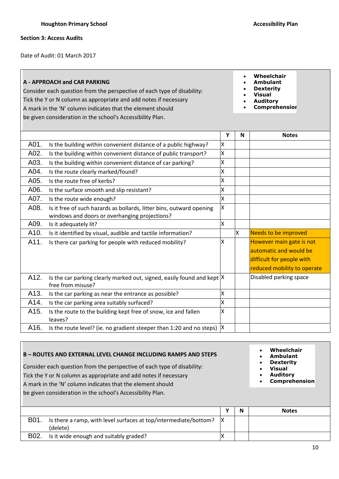**Section 3: Access Audits**

Date of Audit: 01 March 2017

# **A - APPROACH and CAR PARKING**

Consider each question from the perspective of each type of disability: Tick the Y or N column as appropriate and add notes if necessary A mark in the 'N' column indicates that the element should be given consideration in the school's Accessibility Plan.

- **Wheelchair**
- **Ambulant**
- **Dexterity**
- **Visual**
- **Auditory**
- **Comprehension**

|      |                                                                                                                       | Υ | N | <b>Notes</b>                                                                                                   |
|------|-----------------------------------------------------------------------------------------------------------------------|---|---|----------------------------------------------------------------------------------------------------------------|
| A01. | Is the building within convenient distance of a public highway?                                                       | X |   |                                                                                                                |
| A02. | Is the building within convenient distance of public transport?                                                       | X |   |                                                                                                                |
| A03. | Is the building within convenient distance of car parking?                                                            | X |   |                                                                                                                |
| A04. | Is the route clearly marked/found?                                                                                    | X |   |                                                                                                                |
| A05. | Is the route free of kerbs?                                                                                           | Χ |   |                                                                                                                |
| A06. | Is the surface smooth and slip resistant?                                                                             | X |   |                                                                                                                |
| A07. | Is the route wide enough?                                                                                             | Χ |   |                                                                                                                |
| A08. | Is it free of such hazards as bollards, litter bins, outward opening<br>windows and doors or overhanging projections? | X |   |                                                                                                                |
| A09. | Is it adequately lit?                                                                                                 | X |   |                                                                                                                |
| A10. | Is it identified by visual, audible and tactile information?                                                          |   | X | <b>Needs to be improved</b>                                                                                    |
| A11. | Is there car parking for people with reduced mobility?                                                                | X |   | However main gate is not<br>automatic and would be<br>difficult for people with<br>reduced mobility to operate |
| A12. | Is the car parking clearly marked out, signed, easily found and kept $ X $<br>free from misuse?                       |   |   | Disabled parking space                                                                                         |
| A13. | Is the car parking as near the entrance as possible?                                                                  | X |   |                                                                                                                |
| A14. | Is the car parking area suitably surfaced?                                                                            | Χ |   |                                                                                                                |
| A15. | Is the route to the building kept free of snow, ice and fallen<br>leaves?                                             | X |   |                                                                                                                |
| A16. | Is the route level? (ie. no gradient steeper than 1:20 and no steps) $ X $                                            |   |   |                                                                                                                |

### **B – ROUTES AND EXTERNAL LEVEL CHANGE INCLUDING RAMPS AND STEPS** Consider each question from the perspective of each type of disability: Tick the Y or N column as appropriate and add notes if necessary A mark in the 'N' column indicates that the element should be given consideration in the school's Accessibility Plan. **Wheelchair Ambulant Dexterity Visual Auditory Comprehension**

|      |                                                                        |  | <b>Notes</b> |
|------|------------------------------------------------------------------------|--|--------------|
| B01. | Is there a ramp, with level surfaces at top/intermediate/bottom? $ X $ |  |              |
|      | (delete)                                                               |  |              |
| B02. | Is it wide enough and suitably graded?                                 |  |              |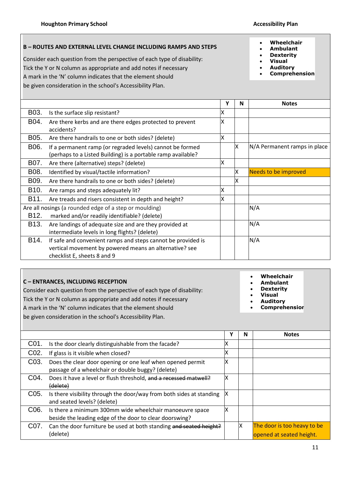# **B – ROUTES AND EXTERNAL LEVEL CHANGE INCLUDING RAMPS AND STEPS**

Consider each question from the perspective of each type of disability: Tick the Y or N column as appropriate and add notes if necessary

A mark in the 'N' column indicates that the element should

be given consideration in the school's Accessibility Plan.

# **Wheelchair**

- **Ambulant**
- **Dexterity**
- **Visual**
- **Auditory**
- **Comprehension**

|                   |                                                                                                                                                       | Υ | N | <b>Notes</b>                 |
|-------------------|-------------------------------------------------------------------------------------------------------------------------------------------------------|---|---|------------------------------|
| B03.              | Is the surface slip resistant?                                                                                                                        | х |   |                              |
| B04.              | Are there kerbs and are there edges protected to prevent<br>accidents?                                                                                | X |   |                              |
| B05.              | Are there handrails to one or both sides? (delete)                                                                                                    | x |   |                              |
| B06.              | If a permanent ramp (or regraded levels) cannot be formed<br>(perhaps to a Listed Building) is a portable ramp available?                             |   | X | N/A Permanent ramps in place |
| B07.              | Are there (alternative) steps? (delete)                                                                                                               | x |   |                              |
| B08.              | Identified by visual/tactile information?                                                                                                             |   | X | Needs to be improved         |
| B09.              | Are there handrails to one or both sides? (delete)                                                                                                    |   | x |                              |
| B <sub>10</sub> . | Are ramps and steps adequately lit?                                                                                                                   | x |   |                              |
| B11.              | Are treads and risers consistent in depth and height?                                                                                                 | X |   |                              |
| B <sub>12</sub> . | Are all nosings (a rounded edge of a step or moulding)<br>marked and/or readily identifiable? (delete)                                                |   |   | N/A                          |
| B <sub>13</sub> . | Are landings of adequate size and are they provided at<br>intermediate levels in long flights? (delete)                                               |   |   | N/A                          |
| B14.              | If safe and convenient ramps and steps cannot be provided is<br>vertical movement by powered means an alternative? see<br>checklist E, sheets 8 and 9 |   |   | N/A                          |

# **C – ENTRANCES, INCLUDING RECEPTION**

Consider each question from the perspective of each type of disability:

Tick the Y or N column as appropriate and add notes if necessary

A mark in the 'N' column indicates that the element should

be given consideration in the school's Accessibility Plan.

- **Wheelchair**
- **Ambulant**
- **Dexterity**
- **Visual**
- **Auditory**
- **Comprehension**

**Y N Notes** C01. Is the door clearly distinguishable from the facade?  $\vert$  X C02. If glass is it visible when closed?  $\vert$  X C03. Does the clear door opening or one leaf when opened permit passage of a wheelchair or double buggy? (delete) X C04. Does it have a level or flush threshold, and a recessed matwell? (delete) X C05. Is there visibility through the door/way from both sides at standing and seated levels? (delete) X C06. Is there a minimum 300mm wide wheelchair manoeuvre space beside the leading edge of the door to clear doorswing? X C07. Can the door furniture be used at both standing and seated height? (delete)  $X$  The door is too heavy to be opened at seated height.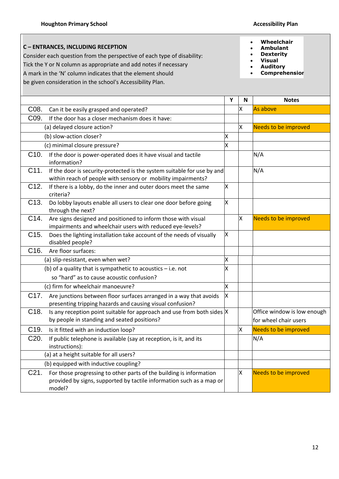**C – ENTRANCES, INCLUDING RECEPTION**

Consider each question from the perspective of each type of disability:

Tick the Y or N column as appropriate and add notes if necessary

A mark in the 'N' column indicates that the element should

be given consideration in the school's Accessibility Plan.

- **Wheelchair**
- **Ambulant**
- **Dexterity Visual**
- **Auditory**
- 
- **Comprehension**

|                                                                                                                                                                            | Y                       | N        | <b>Notes</b>                                         |
|----------------------------------------------------------------------------------------------------------------------------------------------------------------------------|-------------------------|----------|------------------------------------------------------|
| C08.<br>Can it be easily grasped and operated?                                                                                                                             |                         | Χ        | As above                                             |
| C09.<br>If the door has a closer mechanism does it have:                                                                                                                   |                         |          |                                                      |
| (a) delayed closure action?                                                                                                                                                |                         | Χ        | Needs to be improved                                 |
| (b) slow-action closer?                                                                                                                                                    | X                       |          |                                                      |
| (c) minimal closure pressure?                                                                                                                                              | X                       |          |                                                      |
| C <sub>10</sub> .<br>If the door is power-operated does it have visual and tactile<br>information?                                                                         |                         |          | N/A                                                  |
| C11.<br>If the door is security-protected is the system suitable for use by and<br>within reach of people with sensory or mobility impairments?                            |                         |          | N/A                                                  |
| C <sub>12</sub> .<br>If there is a lobby, do the inner and outer doors meet the same<br>criteria?                                                                          | X                       |          |                                                      |
| C <sub>13</sub> .<br>Do lobby layouts enable all users to clear one door before going<br>through the next?                                                                 | X                       |          |                                                      |
| C14.<br>Are signs designed and positioned to inform those with visual<br>impairments and wheelchair users with reduced eye-levels?                                         |                         | $\times$ | Needs to be improved                                 |
| C15.<br>Does the lighting installation take account of the needs of visually<br>disabled people?                                                                           | X                       |          |                                                      |
| C <sub>16</sub> .<br>Are floor surfaces:                                                                                                                                   |                         |          |                                                      |
| (a) slip-resistant, even when wet?                                                                                                                                         | X                       |          |                                                      |
| (b) of a quality that is sympathetic to acoustics $-$ i.e. not<br>so "hard" as to cause acoustic confusion?                                                                | $\overline{\mathsf{x}}$ |          |                                                      |
| (c) firm for wheelchair manoeuvre?                                                                                                                                         | X                       |          |                                                      |
| C17.<br>Are junctions between floor surfaces arranged in a way that avoids<br>presenting tripping hazards and causing visual confusion?                                    | <b>x</b>                |          |                                                      |
| C18.<br>Is any reception point suitable for approach and use from both sides $X$<br>by people in standing and seated positions?                                            |                         |          | Office window is low enough<br>for wheel chair users |
| C19.<br>Is it fitted with an induction loop?                                                                                                                               |                         | X        | <b>Needs to be improved</b>                          |
| C20.<br>If public telephone is available (say at reception, is it, and its<br>instructions):                                                                               |                         |          | N/A                                                  |
| (a) at a height suitable for all users?                                                                                                                                    |                         |          |                                                      |
| (b) equipped with inductive coupling?                                                                                                                                      |                         |          |                                                      |
| C <sub>21</sub> .<br>For those progressing to other parts of the building is information<br>provided by signs, supported by tactile information such as a map or<br>model? |                         | x        | Needs to be improved                                 |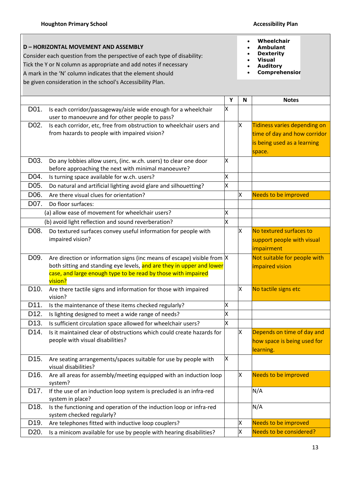**D – HORIZONTAL MOVEMENT AND ASSEMBLY** Consider each question from the perspective of each type of disability: Tick the Y or N column as appropriate and add notes if necessary A mark in the 'N' column indicates that the element should be given consideration in the school's Accessibility Plan.

- **Wheelchair**
- **Ambulant**
- **Dexterity**
- **Visual**
- **Auditory**
- **Comprehension**

|                   |                                                                                                  | Y | N        | <b>Notes</b>                 |
|-------------------|--------------------------------------------------------------------------------------------------|---|----------|------------------------------|
| D01.              | Is each corridor/passageway/aisle wide enough for a wheelchair                                   | X |          |                              |
|                   | user to manoeuvre and for other people to pass?                                                  |   |          |                              |
| D <sub>02</sub> . | Is each corridor, etc, free from obstruction to wheelchair users and                             |   | X        | Tidiness varies depending on |
|                   | from hazards to people with impaired vision?                                                     |   |          | time of day and how corridor |
|                   |                                                                                                  |   |          | is being used as a learning  |
|                   |                                                                                                  |   |          | space.                       |
| D03.              | Do any lobbies allow users, (inc. w.ch. users) to clear one door                                 | X |          |                              |
|                   | before approaching the next with minimal manoeuvre?                                              |   |          |                              |
| D04.              | Is turning space available for w.ch. users?                                                      | X |          |                              |
| D05.              | Do natural and artificial lighting avoid glare and silhouetting?                                 | Χ |          |                              |
| D06.              | Are there visual clues for orientation?                                                          |   | $\times$ | Needs to be improved         |
| D07.              | Do floor surfaces:                                                                               |   |          |                              |
|                   | (a) allow ease of movement for wheelchair users?                                                 | X |          |                              |
|                   | (b) avoid light reflection and sound reverberation?                                              | X |          |                              |
| D08.              | Do textured surfaces convey useful information for people with                                   |   | X.       | No textured surfaces to      |
|                   | impaired vision?                                                                                 |   |          | support people with visual   |
|                   |                                                                                                  |   |          | impairment                   |
| D09.              | Are direction or information signs (inc means of escape) visible from $ X $                      |   |          | Not suitable for people with |
|                   | both sitting and standing eye levels, and are they in upper and lower                            |   |          | impaired vision              |
|                   | case, and large enough type to be read by those with impaired<br>vision?                         |   |          |                              |
| D <sub>10</sub> . | Are there tactile signs and information for those with impaired                                  |   | X        | No tactile signs etc         |
|                   | vision?                                                                                          |   |          |                              |
| D11.              | Is the maintenance of these items checked regularly?                                             | Χ |          |                              |
| D <sub>12</sub> . | Is lighting designed to meet a wide range of needs?                                              | X |          |                              |
| D <sub>13</sub> . | Is sufficient circulation space allowed for wheelchair users?                                    | X |          |                              |
| D14.              | Is it maintained clear of obstructions which could create hazards for                            |   | X        | Depends on time of day and   |
|                   | people with visual disabilities?                                                                 |   |          | how space is being used for  |
|                   |                                                                                                  |   |          | learning.                    |
| D <sub>15</sub> . | Are seating arrangements/spaces suitable for use by people with                                  | X |          |                              |
|                   | visual disabilities?                                                                             |   |          |                              |
| D16.              | Are all areas for assembly/meeting equipped with an induction loop                               |   | X        | <b>Needs to be improved</b>  |
|                   | system?                                                                                          |   |          |                              |
| D17.              | If the use of an induction loop system is precluded is an infra-red                              |   |          | N/A                          |
|                   | system in place?                                                                                 |   |          |                              |
| D <sub>18</sub> . | Is the functioning and operation of the induction loop or infra-red<br>system checked regularly? |   |          | N/A                          |
| D19.              | Are telephones fitted with inductive loop couplers?                                              |   | X        | Needs to be improved         |
| D20.              | Is a minicom available for use by people with hearing disabilities?                              |   | X        | Needs to be considered?      |
|                   |                                                                                                  |   |          |                              |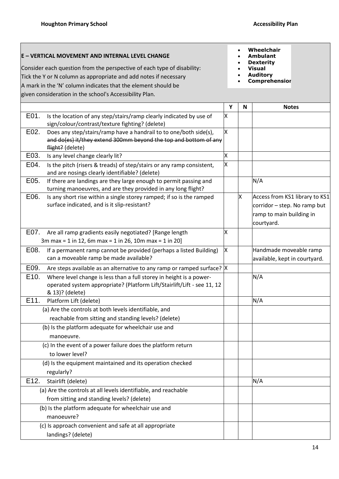# **E – VERTICAL MOVEMENT AND INTERNAL LEVEL CHANGE**

Consider each question from the perspective of each type of disability: Tick the Y or N column as appropriate and add notes if necessary A mark in the 'N' column indicates that the element should be given consideration in the school's Accessibility Plan.

- **Wheelchair**
- **Ambulant**
- **Dexterity**
- **Visual Auditory**
- **Comprehension**

|                                                                                                                                                                           | Y  | N | <b>Notes</b>                                                                                             |
|---------------------------------------------------------------------------------------------------------------------------------------------------------------------------|----|---|----------------------------------------------------------------------------------------------------------|
| E01.<br>Is the location of any step/stairs/ramp clearly indicated by use of<br>sign/colour/contrast/texture fighting? (delete)                                            | X  |   |                                                                                                          |
| E02.<br>Does any step/stairs/ramp have a handrail to to one/both side(s),<br>and do(es) it/they extend 300mm beyond the top and bottom of any<br>flight? (delete)         | Ιx |   |                                                                                                          |
| E03.<br>Is any level change clearly lit?                                                                                                                                  | X  |   |                                                                                                          |
| E04.<br>Is the pitch (risers & treads) of step/stairs or any ramp consistent,<br>and are nosings clearly identifiable? (delete)                                           | X  |   |                                                                                                          |
| E05.<br>If there are landings are they large enough to permit passing and<br>turning manoeuvres, and are they provided in any long flight?                                |    |   | N/A                                                                                                      |
| E06.<br>Is any short rise within a single storey ramped; if so is the ramped<br>surface indicated, and is it slip-resistant?                                              |    | X | Access from KS1 library to KS1<br>corridor - step. No ramp but<br>ramp to main building in<br>courtyard. |
| E07.<br>Are all ramp gradients easily negotiated? [Range length<br>3m max = 1 in 12, 6m max = 1 in 26, 10m max = 1 in 20]                                                 | X  |   |                                                                                                          |
| E08.<br>If a permanent ramp cannot be provided (perhaps a listed Building)<br>can a moveable ramp be made available?                                                      | X  |   | Handmade moveable ramp<br>available, kept in courtyard.                                                  |
| E09.<br>Are steps available as an alternative to any ramp or ramped surface?  X                                                                                           |    |   |                                                                                                          |
| E10.<br>Where level change is less than a full storey in height is a power-<br>operated system appropriate? (Platform Lift/Stairlift/Lift - see 11, 12<br>& 13)? (delete) |    |   | N/A                                                                                                      |
| E11.<br>Platform Lift (delete)                                                                                                                                            |    |   | N/A                                                                                                      |
| (a) Are the controls at both levels identifiable, and<br>reachable from sitting and standing levels? (delete)                                                             |    |   |                                                                                                          |
| (b) Is the platform adequate for wheelchair use and<br>manoeuvre.                                                                                                         |    |   |                                                                                                          |
| (c) In the event of a power failure does the platform return<br>to lower level?                                                                                           |    |   |                                                                                                          |
| (d) Is the equipment maintained and its operation checked<br>regularly?                                                                                                   |    |   |                                                                                                          |
| E12.<br>Stairlift (delete)                                                                                                                                                |    |   | N/A                                                                                                      |
| (a) Are the controls at all levels identifiable, and reachable                                                                                                            |    |   |                                                                                                          |
| from sitting and standing levels? (delete)                                                                                                                                |    |   |                                                                                                          |
| (b) Is the platform adequate for wheelchair use and                                                                                                                       |    |   |                                                                                                          |
| manoeuvre?                                                                                                                                                                |    |   |                                                                                                          |
| (c) Is approach convenient and safe at all appropriate                                                                                                                    |    |   |                                                                                                          |
| landings? (delete)                                                                                                                                                        |    |   |                                                                                                          |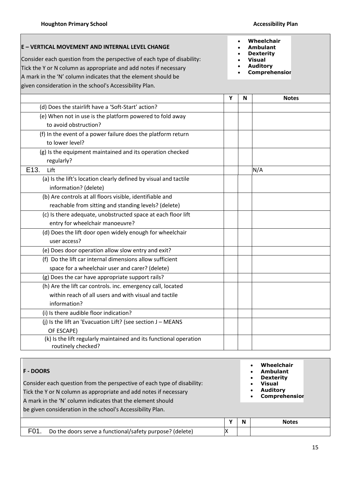# **E – VERTICAL MOVEMENT AND INTERNAL LEVEL CHANGE**

Consider each question from the perspective of each type of disability: Tick the Y or N column as appropriate and add notes if necessary A mark in the 'N' column indicates that the element should be given consideration in the school's Accessibility Plan.

- **Wheelchair**
- **Ambulant**
- **Dexterity Visual**
- **Auditory**
- 
- **Comprehension**

|                                                                   | Υ | N | <b>Notes</b> |
|-------------------------------------------------------------------|---|---|--------------|
| (d) Does the stairlift have a 'Soft-Start' action?                |   |   |              |
| (e) When not in use is the platform powered to fold away          |   |   |              |
| to avoid obstruction?                                             |   |   |              |
| (f) In the event of a power failure does the platform return      |   |   |              |
| to lower level?                                                   |   |   |              |
| (g) Is the equipment maintained and its operation checked         |   |   |              |
| regularly?                                                        |   |   |              |
| E <sub>13</sub> .<br>Lift                                         |   |   | N/A          |
| (a) Is the lift's location clearly defined by visual and tactile  |   |   |              |
| information? (delete)                                             |   |   |              |
| (b) Are controls at all floors visible, identifiable and          |   |   |              |
| reachable from sitting and standing levels? (delete)              |   |   |              |
| (c) Is there adequate, unobstructed space at each floor lift      |   |   |              |
| entry for wheelchair manoeuvre?                                   |   |   |              |
| (d) Does the lift door open widely enough for wheelchair          |   |   |              |
| user access?                                                      |   |   |              |
| (e) Does door operation allow slow entry and exit?                |   |   |              |
| (f) Do the lift car internal dimensions allow sufficient          |   |   |              |
| space for a wheelchair user and carer? (delete)                   |   |   |              |
| (g) Does the car have appropriate support rails?                  |   |   |              |
| (h) Are the lift car controls. inc. emergency call, located       |   |   |              |
| within reach of all users and with visual and tactile             |   |   |              |
| information?                                                      |   |   |              |
| (i) Is there audible floor indication?                            |   |   |              |
| (j) Is the lift an 'Evacuation Lift? (see section J - MEANS       |   |   |              |
| OF ESCAPE)                                                        |   |   |              |
| (k) Is the lift regularly maintained and its functional operation |   |   |              |
| routinely checked?                                                |   |   |              |

| <b>F - DOORS</b><br>Consider each question from the perspective of each type of disability:<br>Tick the Y or N column as appropriate and add notes if necessary<br>A mark in the 'N' column indicates that the element should |    | Wheelchair<br>Ambulant<br><b>Dexterity</b><br>Visual<br><b>Auditory</b><br><b>Comprehensior</b> |              |
|-------------------------------------------------------------------------------------------------------------------------------------------------------------------------------------------------------------------------------|----|-------------------------------------------------------------------------------------------------|--------------|
|                                                                                                                                                                                                                               |    |                                                                                                 |              |
| be given consideration in the school's Accessibility Plan.                                                                                                                                                                    |    |                                                                                                 |              |
|                                                                                                                                                                                                                               |    |                                                                                                 |              |
|                                                                                                                                                                                                                               | v  | N                                                                                               | <b>Notes</b> |
| F <sub>0</sub> 1<br>Do the doors serve a functional/safety purpose? (delete)                                                                                                                                                  | ΙX |                                                                                                 |              |
|                                                                                                                                                                                                                               |    |                                                                                                 |              |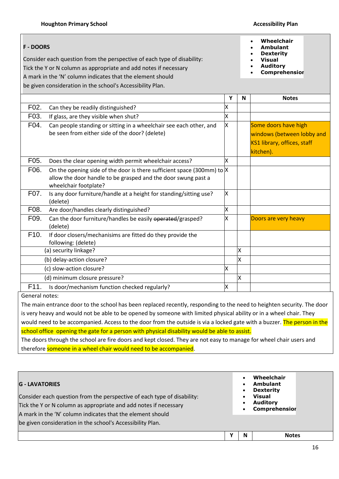# **F - DOORS**

Consider each question from the perspective of each type of disability: Tick the Y or N column as appropriate and add notes if necessary A mark in the 'N' column indicates that the element should

be given consideration in the school's Accessibility Plan.

|                   |                                                                                                                                                                      | Υ | N | <b>Notes</b>                                                                                   |
|-------------------|----------------------------------------------------------------------------------------------------------------------------------------------------------------------|---|---|------------------------------------------------------------------------------------------------|
| F <sub>02</sub> . | Can they be readily distinguished?                                                                                                                                   | X |   |                                                                                                |
| F03.              | If glass, are they visible when shut?                                                                                                                                | X |   |                                                                                                |
| F04.              | Can people standing or sitting in a wheelchair see each other, and<br>be seen from either side of the door? (delete)                                                 | X |   | Some doors have high<br>windows (between lobby and<br>KS1 library, offices, staff<br>kitchen). |
| F05.              | Does the clear opening width permit wheelchair access?                                                                                                               | X |   |                                                                                                |
| F06.              | On the opening side of the door is there sufficient space (300mm) to $ X $<br>allow the door handle to be grasped and the door swung past a<br>wheelchair footplate? |   |   |                                                                                                |
| F07.              | Is any door furniture/handle at a height for standing/sitting use?<br>(delete)                                                                                       | X |   |                                                                                                |
| F08.              | Are door/handles clearly distinguished?                                                                                                                              | X |   |                                                                                                |
| F09.              | Can the door furniture/handles be easily operated/grasped?<br>(delete)                                                                                               | X |   | Doors are very heavy                                                                           |
| F10.              | If door closers/mechanisims are fitted do they provide the<br>following: (delete)                                                                                    |   |   |                                                                                                |
|                   | (a) security linkage?                                                                                                                                                |   | X |                                                                                                |
|                   | (b) delay-action closure?                                                                                                                                            |   | X |                                                                                                |
|                   | (c) slow-action closure?                                                                                                                                             | X |   |                                                                                                |
|                   | (d) minimum closure pressure?                                                                                                                                        |   | X |                                                                                                |
| F11.              | Is door/mechanism function checked regularly?                                                                                                                        | X |   |                                                                                                |

General notes:

The main entrance door to the school has been replaced recently, responding to the need to heighten security. The door is very heavy and would not be able to be opened by someone with limited physical ability or in a wheel chair. They would need to be accompanied. Access to the door from the outside is via a locked gate with a buzzer. The person in the school office opening the gate for a person with physical disability would be able to assist.

The doors through the school are fire doors and kept closed. They are not easy to manage for wheel chair users and therefore someone in a wheel chair would need to be accompanied.

| <b>G - LAVATORIES</b><br>Consider each question from the perspective of each type of disability:<br>Tick the Y or N column as appropriate and add notes if necessary<br>A mark in the 'N' column indicates that the element should |   | Wheelchair<br><b>Ambulant</b><br><b>Dexterity</b><br><b>Visual</b><br><b>Auditory</b><br><b>Comprehensior</b> |
|------------------------------------------------------------------------------------------------------------------------------------------------------------------------------------------------------------------------------------|---|---------------------------------------------------------------------------------------------------------------|
| be given consideration in the school's Accessibility Plan.                                                                                                                                                                         |   |                                                                                                               |
|                                                                                                                                                                                                                                    | N | <b>Notes</b>                                                                                                  |

### **Wheelchair Ambulant**

- **Dexterity**
- **Visual**
- **Auditory**
	- **Comprehension**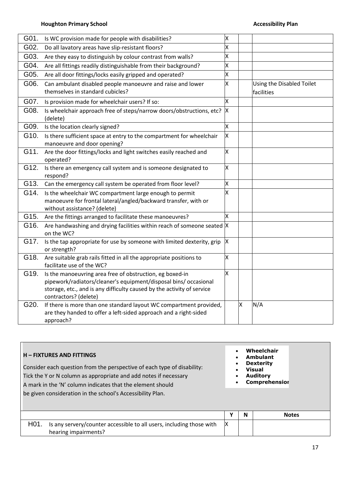| G01. | Is WC provision made for people with disabilities?                                                                                                                                                                              | X |   |                                         |
|------|---------------------------------------------------------------------------------------------------------------------------------------------------------------------------------------------------------------------------------|---|---|-----------------------------------------|
| G02. | Do all lavatory areas have slip-resistant floors?                                                                                                                                                                               | X |   |                                         |
| G03. | Are they easy to distinguish by colour contrast from walls?                                                                                                                                                                     | X |   |                                         |
| G04. | Are all fittings readily distinguishable from their background?                                                                                                                                                                 | X |   |                                         |
| G05. | Are all door fittings/locks easily gripped and operated?                                                                                                                                                                        | X |   |                                         |
| G06. | Can ambulant disabled people manoeuvre and raise and lower<br>themselves in standard cubicles?                                                                                                                                  | X |   | Using the Disabled Toilet<br>facilities |
| G07. | Is provision made for wheelchair users? If so:                                                                                                                                                                                  | X |   |                                         |
| G08. | Is wheelchair approach free of steps/narrow doors/obstructions, etc?<br>(delete)                                                                                                                                                | X |   |                                         |
| G09. | Is the location clearly signed?                                                                                                                                                                                                 | X |   |                                         |
| G10. | Is there sufficient space at entry to the compartment for wheelchair<br>manoeuvre and door opening?                                                                                                                             | X |   |                                         |
| G11. | Are the door fittings/locks and light switches easily reached and<br>operated?                                                                                                                                                  | X |   |                                         |
| G12. | Is there an emergency call system and is someone designated to<br>respond?                                                                                                                                                      | X |   |                                         |
| G13. | Can the emergency call system be operated from floor level?                                                                                                                                                                     | X |   |                                         |
| G14. | Is the wheelchair WC compartment large enough to permit<br>manoeuvre for frontal lateral/angled/backward transfer, with or<br>without assistance? (delete)                                                                      | X |   |                                         |
| G15. | Are the fittings arranged to facilitate these manoeuvres?                                                                                                                                                                       | X |   |                                         |
| G16. | Are handwashing and drying facilities within reach of someone seated $ X $<br>on the WC?                                                                                                                                        |   |   |                                         |
| G17. | Is the tap appropriate for use by someone with limited dexterity, grip<br>or strength?                                                                                                                                          | X |   |                                         |
| G18. | Are suitable grab rails fitted in all the appropriate positions to<br>facilitate use of the WC?                                                                                                                                 | X |   |                                         |
| G19. | Is the manoeuvring area free of obstruction, eg boxed-in<br>pipework/radiators/cleaner's equipment/disposal bins/ occasional<br>storage, etc., and is any difficulty caused by the activity of service<br>contractors? (delete) | x |   |                                         |
| G20. | If there is more than one standard layout WC compartment provided,<br>are they handed to offer a left-sided approach and a right-sided<br>approach?                                                                             |   | X | N/A                                     |

| <b>H</b> – FIXTURES AND FITTINGS<br>Consider each question from the perspective of each type of disability:<br>Tick the Y or N column as appropriate and add notes if necessary<br>A mark in the 'N' column indicates that the element should<br>be given consideration in the school's Accessibility Plan. | $\bullet$ |   | Wheelchair<br>Ambulant<br><b>Dexterity</b><br><b>Visual</b><br><b>Auditory</b><br><b>Comprehensior</b> |
|-------------------------------------------------------------------------------------------------------------------------------------------------------------------------------------------------------------------------------------------------------------------------------------------------------------|-----------|---|--------------------------------------------------------------------------------------------------------|
|                                                                                                                                                                                                                                                                                                             | v         | N | <b>Notes</b>                                                                                           |
| H <sub>01</sub> .<br>Is any servery/counter accessible to all users, including those with<br>hearing impairments?                                                                                                                                                                                           | ΙX        |   |                                                                                                        |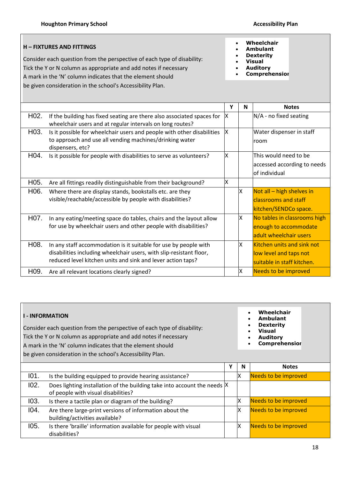# **H – FIXTURES AND FITTINGS**

Consider each question from the perspective of each type of disability: Tick the Y or N column as appropriate and add notes if necessary A mark in the 'N' column indicates that the element should

be given consideration in the school's Accessibility Plan.

- **Wheelchair**
- **Ambulant**
- **Dexterity**
- **Visual Auditory**
- **Comprehension**
- **Y N Notes** H02. If the building has fixed seating are there also associated spaces for wheelchair users and at regular intervals on long routes?  $X$  N/A - no fixed seating H03. Is it possible for wheelchair users and people with other disabilities to approach and use all vending machines/drinking water dispensers, etc? X | Water dispenser in staff room H04. Is it possible for people with disabilities to serve as volunteers?  $\|x\|$  This would need to be accessed according to needs of individual H05. Are all fittings readily distinguishable from their background?  $\vert$  X H06. Where there are display stands, bookstalls etc. are they visible/reachable/accessible by people with disabilities?  $X$  Not all – high shelves in classrooms and staff kitchen/SENDCo space. H07. In any eating/meeting space do tables, chairs and the layout allow for use by wheelchair users and other people with disabilities?  $X$  No tables in classrooms high enough to accommodate adult wheelchair users H08. In any staff accommodation is it suitable for use by people with disabilities including wheelchair users, with slip-resistant floor, reduced level kitchen units and sink and lever action taps? X Kitchen units and sink not low level and taps not suitable in staff kitchen. H09. Are all relevant locations clearly signed? Needs to be improved

|      | <b>I-INFORMATION</b><br>Consider each question from the perspective of each type of disability:<br>Tick the Y or N column as appropriate and add notes if necessary<br>A mark in the 'N' column indicates that the element should<br>be given consideration in the school's Accessibility Plan. |   | Wheelchair<br><b>Ambulant</b><br><b>Dexterity</b><br><b>Visual</b><br><b>Auditory</b><br><b>Comprehensior</b> |                             |
|------|-------------------------------------------------------------------------------------------------------------------------------------------------------------------------------------------------------------------------------------------------------------------------------------------------|---|---------------------------------------------------------------------------------------------------------------|-----------------------------|
|      |                                                                                                                                                                                                                                                                                                 | Υ | N                                                                                                             | <b>Notes</b>                |
| 101. | Is the building equipped to provide hearing assistance?                                                                                                                                                                                                                                         |   | X                                                                                                             | Needs to be improved        |
| 102. | Does lighting installation of the building take into account the needs  X<br>of people with visual disabilities?                                                                                                                                                                                |   |                                                                                                               |                             |
| 103. | Is there a tactile plan or diagram of the building?                                                                                                                                                                                                                                             |   | x                                                                                                             | Needs to be improved        |
| 104. | Are there large-print versions of information about the<br>building/activities available?                                                                                                                                                                                                       |   | х                                                                                                             | Needs to be improved        |
| 105. | Is there 'braille' information available for people with visual<br>disabilities?                                                                                                                                                                                                                |   | x                                                                                                             | <b>Needs to be improved</b> |